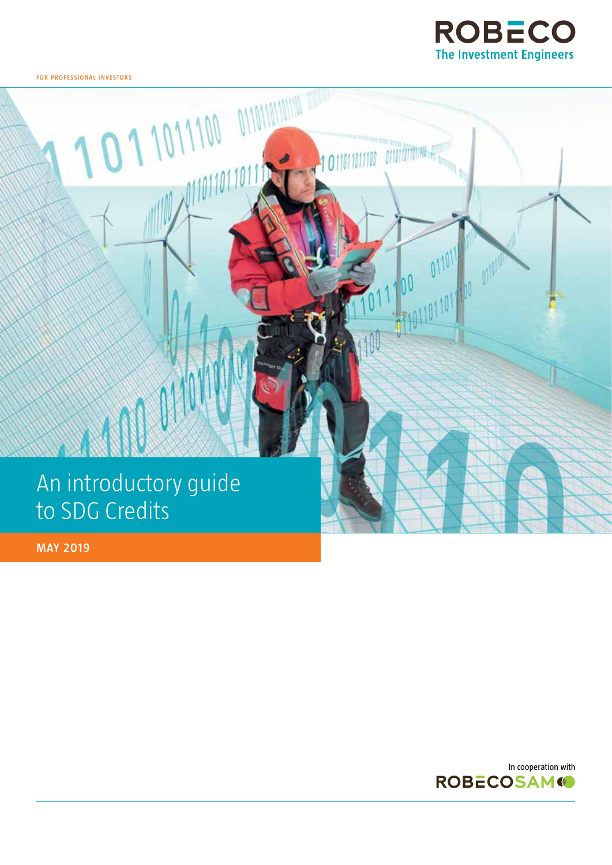

**MANUFACTURE** 

101101101100

1011011011

**for professional i nvestors**

## An introductory guide to SDG Credits

**MAY 2019**

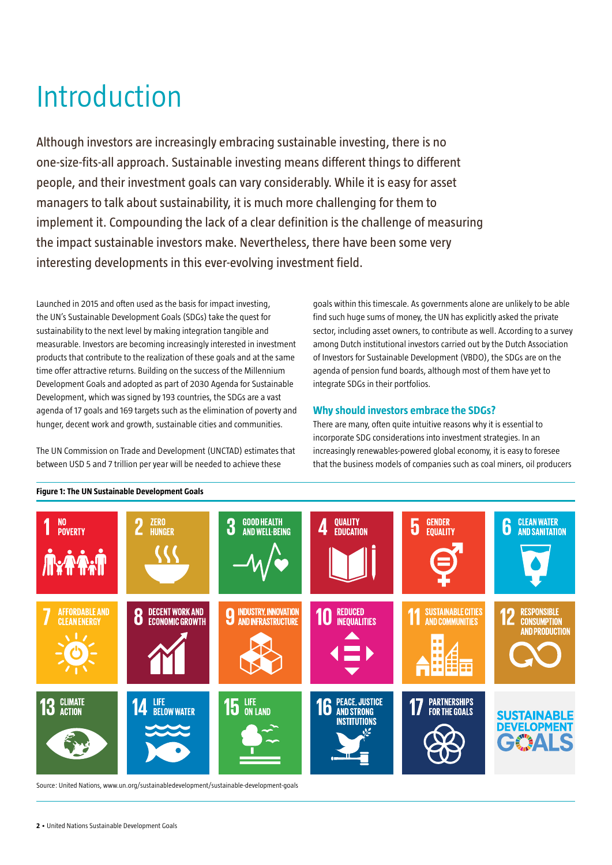## Introduction

Although investors are increasingly embracing sustainable investing, there is no one-size-fits-all approach. Sustainable investing means different things to different people, and their investment goals can vary considerably. While it is easy for asset managers to talk about sustainability, it is much more challenging for them to implement it. Compounding the lack of a clear definition is the challenge of measuring the impact sustainable investors make. Nevertheless, there have been some very interesting developments in this ever-evolving investment field.

Launched in 2015 and often used as the basis for impact investing, the UN's Sustainable Development Goals (SDGs) take the quest for sustainability to the next level by making integration tangible and measurable. Investors are becoming increasingly interested in investment products that contribute to the realization of these goals and at the same time offer attractive returns. Building on the success of the Millennium Development Goals and adopted as part of 2030 Agenda for Sustainable Development, which was signed by 193 countries, the SDGs are a vast agenda of 17 goals and 169 targets such as the elimination of poverty and hunger, decent work and growth, sustainable cities and communities.

The UN Commission on Trade and Development (UNCTAD) estimates that between USD 5 and 7 trillion per year will be needed to achieve these

goals within this timescale. As governments alone are unlikely to be able find such huge sums of money, the UN has explicitly asked the private sector, including asset owners, to contribute as well. According to a survey among Dutch institutional investors carried out by the Dutch Association of Investors for Sustainable Development (VBDO), the SDGs are on the agenda of pension fund boards, although most of them have yet to integrate SDGs in their portfolios.

### **Why should investors embrace the SDGs?**

There are many, often quite intuitive reasons why it is essential to incorporate SDG considerations into investment strategies. In an increasingly renewables-powered global economy, it is easy to foresee that the business models of companies such as coal miners, oil producers



#### **Figure 1: The UN Sustainable Development Goals**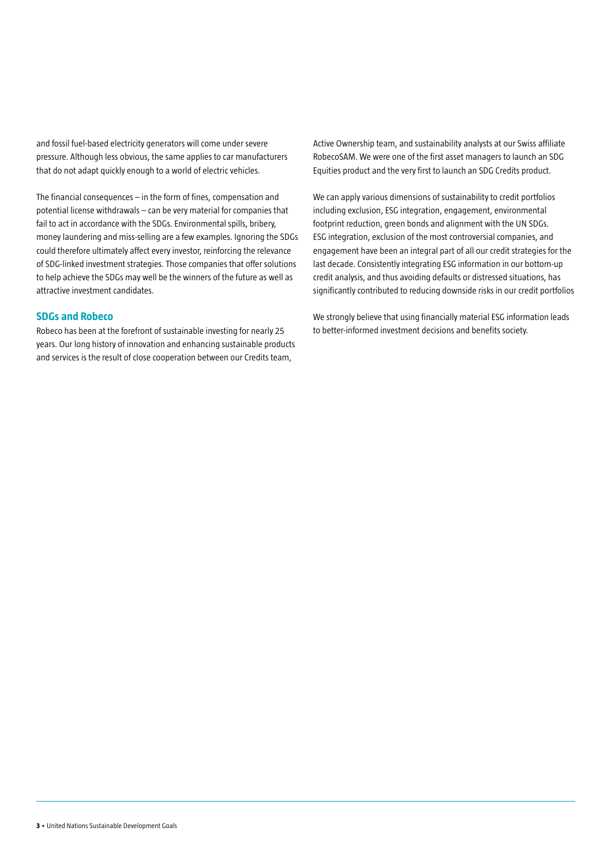and fossil fuel-based electricity generators will come under severe pressure. Although less obvious, the same applies to car manufacturers that do not adapt quickly enough to a world of electric vehicles.

The financial consequences – in the form of fines, compensation and potential license withdrawals – can be very material for companies that fail to act in accordance with the SDGs. Environmental spills, bribery, money laundering and miss-selling are a few examples. Ignoring the SDGs could therefore ultimately affect every investor, reinforcing the relevance of SDG-linked investment strategies. Those companies that offer solutions to help achieve the SDGs may well be the winners of the future as well as attractive investment candidates.

#### **SDGs and Robeco**

Robeco has been at the forefront of sustainable investing for nearly 25 years. Our long history of innovation and enhancing sustainable products and services is the result of close cooperation between our Credits team,

Active Ownership team, and sustainability analysts at our Swiss affiliate RobecoSAM. We were one of the first asset managers to launch an SDG Equities product and the very first to launch an SDG Credits product.

We can apply various dimensions of sustainability to credit portfolios including exclusion, ESG integration, engagement, environmental footprint reduction, green bonds and alignment with the UN SDGs. ESG integration, exclusion of the most controversial companies, and engagement have been an integral part of all our credit strategies for the last decade. Consistently integrating ESG information in our bottom-up credit analysis, and thus avoiding defaults or distressed situations, has significantly contributed to reducing downside risks in our credit portfolios

We strongly believe that using financially material ESG information leads to better-informed investment decisions and benefits society.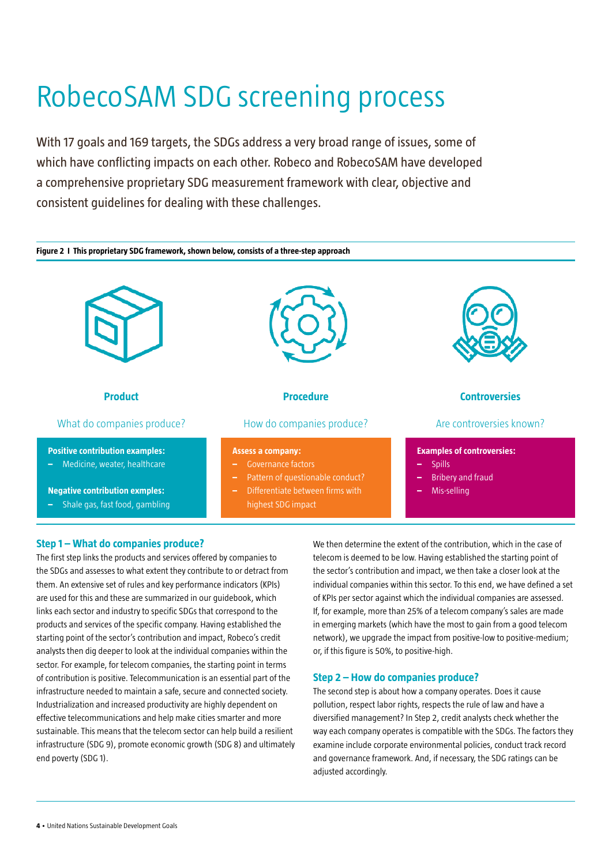# RobecoSAM SDG screening process

With 17 goals and 169 targets, the SDGs address a very broad range of issues, some of which have conflicting impacts on each other. Robeco and RobecoSAM have developed a comprehensive proprietary SDG measurement framework with clear, objective and consistent guidelines for dealing with these challenges.



#### **Step 1 – What do companies produce?**

The first step links the products and services offered by companies to the SDGs and assesses to what extent they contribute to or detract from them. An extensive set of rules and key performance indicators (KPIs) are used for this and these are summarized in our guidebook, which links each sector and industry to specific SDGs that correspond to the products and services of the specific company. Having established the starting point of the sector's contribution and impact, Robeco's credit analysts then dig deeper to look at the individual companies within the sector. For example, for telecom companies, the starting point in terms of contribution is positive. Telecommunication is an essential part of the infrastructure needed to maintain a safe, secure and connected society. Industrialization and increased productivity are highly dependent on effective telecommunications and help make cities smarter and more sustainable. This means that the telecom sector can help build a resilient infrastructure (SDG 9), promote economic growth (SDG 8) and ultimately end poverty (SDG 1).

We then determine the extent of the contribution, which in the case of telecom is deemed to be low. Having established the starting point of the sector's contribution and impact, we then take a closer look at the individual companies within this sector. To this end, we have defined a set of KPIs per sector against which the individual companies are assessed. If, for example, more than 25% of a telecom company's sales are made in emerging markets (which have the most to gain from a good telecom network), we upgrade the impact from positive-low to positive-medium; or, if this figure is 50%, to positive-high.

#### **Step 2 – How do companies produce?**

The second step is about how a company operates. Does it cause pollution, respect labor rights, respects the rule of law and have a diversified management? In Step 2, credit analysts check whether the way each company operates is compatible with the SDGs. The factors they examine include corporate environmental policies, conduct track record and governance framework. And, if necessary, the SDG ratings can be adjusted accordingly.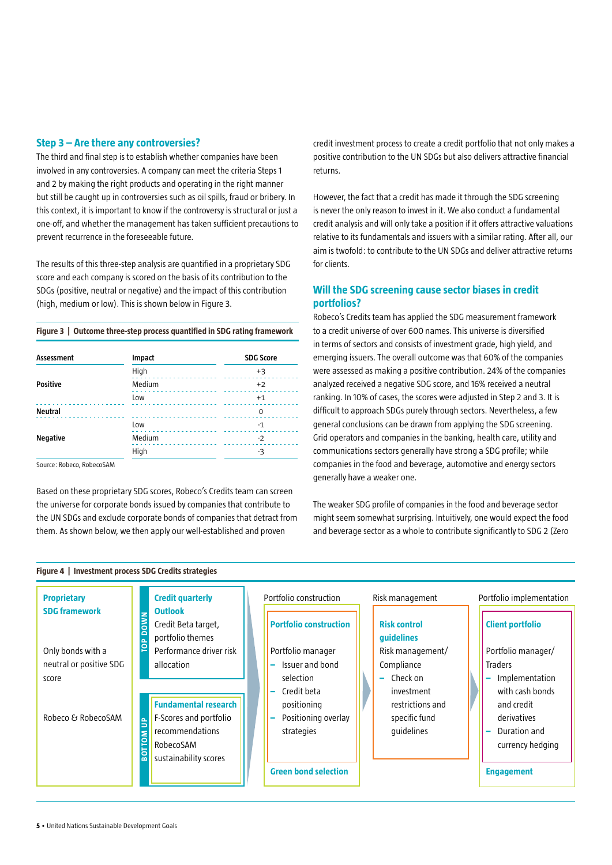#### **Step 3 – Are there any controversies?**

The third and final step is to establish whether companies have been involved in any controversies. A company can meet the criteria Steps 1 and 2 by making the right products and operating in the right manner but still be caught up in controversies such as oil spills, fraud or bribery. In this context, it is important to know if the controversy is structural or just a one-off, and whether the management has taken sufficient precautions to prevent recurrence in the foreseeable future.

The results of this three-step analysis are quantified in a proprietary SDG score and each company is scored on the basis of its contribution to the SDGs (positive, neutral or negative) and the impact of this contribution (high, medium or low). This is shown below in Figure 3.

**Figure 3 | Outcome three-step process quantified in SDG rating framework**

| Assessment      | Impact | <b>SDG Score</b> |
|-----------------|--------|------------------|
|                 | High   | $+3$             |
| <b>Positive</b> | Medium | $+2$             |
|                 | Low    | $+1$             |
| <b>Neutral</b>  |        | 0                |
| <b>Negative</b> | Low    | $-1$             |
|                 | Medium | $-2$             |
|                 | High   | -3               |

Source: Robeco, RobecoSAM

Based on these proprietary SDG scores, Robeco's Credits team can screen the universe for corporate bonds issued by companies that contribute to the UN SDGs and exclude corporate bonds of companies that detract from them. As shown below, we then apply our well-established and proven

credit investment process to create a credit portfolio that not only makes a positive contribution to the UN SDGs but also delivers attractive financial returns.

However, the fact that a credit has made it through the SDG screening is never the only reason to invest in it. We also conduct a fundamental credit analysis and will only take a position if it offers attractive valuations relative to its fundamentals and issuers with a similar rating. After all, our aim is twofold: to contribute to the UN SDGs and deliver attractive returns for clients.

### **Will the SDG screening cause sector biases in credit portfolios?**

Robeco's Credits team has applied the SDG measurement framework to a credit universe of over 600 names. This universe is diversified in terms of sectors and consists of investment grade, high yield, and emerging issuers. The overall outcome was that 60% of the companies were assessed as making a positive contribution. 24% of the companies analyzed received a negative SDG score, and 16% received a neutral ranking. In 10% of cases, the scores were adjusted in Step 2 and 3. It is difficult to approach SDGs purely through sectors. Nevertheless, a few general conclusions can be drawn from applying the SDG screening. Grid operators and companies in the banking, health care, utility and communications sectors generally have strong a SDG profile; while companies in the food and beverage, automotive and energy sectors generally have a weaker one.

The weaker SDG profile of companies in the food and beverage sector might seem somewhat surprising. Intuitively, one would expect the food and beverage sector as a whole to contribute significantly to SDG 2 (Zero

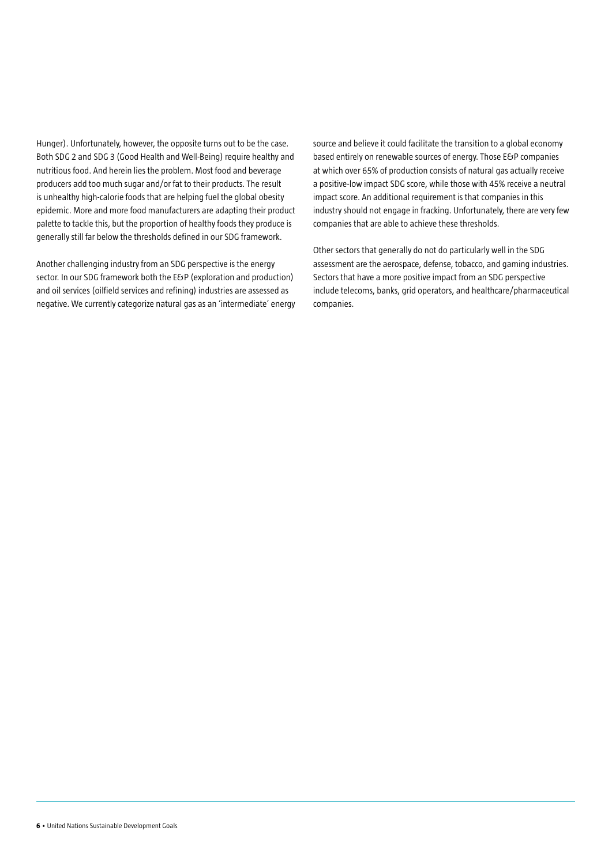Hunger). Unfortunately, however, the opposite turns out to be the case. Both SDG 2 and SDG 3 (Good Health and Well-Being) require healthy and nutritious food. And herein lies the problem. Most food and beverage producers add too much sugar and/or fat to their products. The result is unhealthy high-calorie foods that are helping fuel the global obesity epidemic. More and more food manufacturers are adapting their product palette to tackle this, but the proportion of healthy foods they produce is generally still far below the thresholds defined in our SDG framework.

Another challenging industry from an SDG perspective is the energy sector. In our SDG framework both the E&P (exploration and production) and oil services (oilfield services and refining) industries are assessed as negative. We currently categorize natural gas as an 'intermediate' energy source and believe it could facilitate the transition to a global economy based entirely on renewable sources of energy. Those E&P companies at which over 65% of production consists of natural gas actually receive a positive-low impact SDG score, while those with 45% receive a neutral impact score. An additional requirement is that companies in this industry should not engage in fracking. Unfortunately, there are very few companies that are able to achieve these thresholds.

Other sectors that generally do not do particularly well in the SDG assessment are the aerospace, defense, tobacco, and gaming industries. Sectors that have a more positive impact from an SDG perspective include telecoms, banks, grid operators, and healthcare/pharmaceutical companies.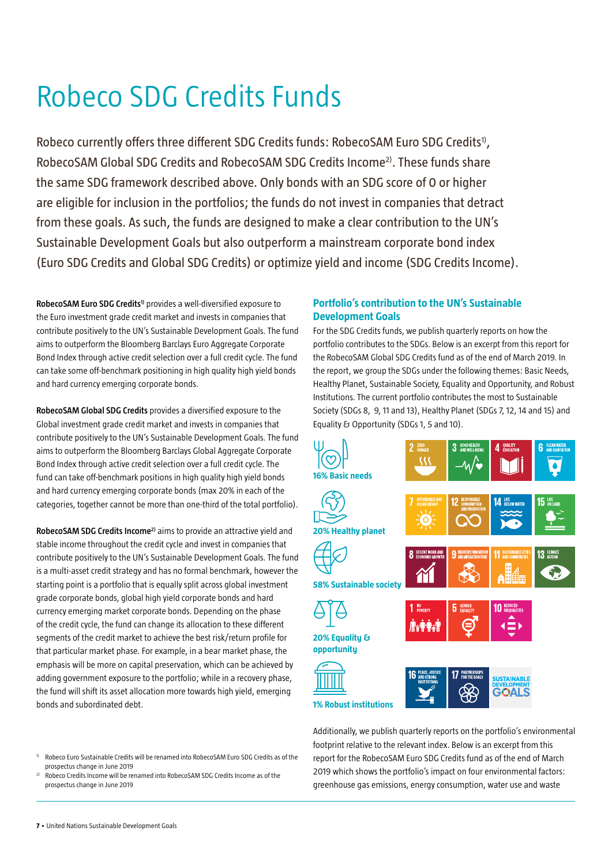## Robeco SDG Credits Funds

Robeco currently offers three different SDG Credits funds: RobecoSAM Euro SDG Credits<sup>1)</sup>, RobecoSAM Global SDG Credits and RobecoSAM SDG Credits Income<sup>2)</sup>. These funds share the same SDG framework described above. Only bonds with an SDG score of 0 or higher are eligible for inclusion in the portfolios; the funds do not invest in companies that detract from these goals. As such, the funds are designed to make a clear contribution to the UN's Sustainable Development Goals but also outperform a mainstream corporate bond index (Euro SDG Credits and Global SDG Credits) or optimize yield and income (SDG Credits Income).

RobecoSAM Euro SDG Credits<sup>1)</sup> provides a well-diversified exposure to the Euro investment grade credit market and invests in companies that contribute positively to the UN's Sustainable Development Goals. The fund aims to outperform the Bloomberg Barclays Euro Aggregate Corporate Bond Index through active credit selection over a full credit cycle. The fund can take some off-benchmark positioning in high quality high yield bonds and hard currency emerging corporate bonds.

**RobecoSAM Global SDG Credits** provides a diversified exposure to the Global investment grade credit market and invests in companies that contribute positively to the UN's Sustainable Development Goals. The fund aims to outperform the Bloomberg Barclays Global Aggregate Corporate Bond Index through active credit selection over a full credit cycle. The fund can take off-benchmark positions in high quality high yield bonds and hard currency emerging corporate bonds (max 20% in each of the categories, together cannot be more than one-third of the total portfolio).

**RobecoSAM SDG Credits Income2)** aims to provide an attractive yield and stable income throughout the credit cycle and invest in companies that contribute positively to the UN's Sustainable Development Goals. The fund is a multi-asset credit strategy and has no formal benchmark, however the starting point is a portfolio that is equally split across global investment grade corporate bonds, global high yield corporate bonds and hard currency emerging market corporate bonds. Depending on the phase of the credit cycle, the fund can change its allocation to these different segments of the credit market to achieve the best risk/return profile for that particular market phase. For example, in a bear market phase, the emphasis will be more on capital preservation, which can be achieved by adding government exposure to the portfolio; while in a recovery phase, the fund will shift its asset allocation more towards high yield, emerging bonds and subordinated debt.

#### 1) Robeco Euro Sustainable Credits will be renamed into RobecoSAM Euro SDG Credits as of the prospectus change in June 2019

2) Robeco Credits Income will be renamed into RobecoSAM SDG Credits Income as of the prospectus change in June 2019

### **Portfolio's contribution to the UN's Sustainable Development Goals**

For the SDG Credits funds, we publish quarterly reports on how the portfolio contributes to the SDGs. Below is an excerpt from this report for the RobecoSAM Global SDG Credits fund as of the end of March 2019. In the report, we group the SDGs under the following themes: Basic Needs, Healthy Planet, Sustainable Society, Equality and Opportunity, and Robust Institutions. The current portfolio contributes the most to Sustainable Society (SDGs 8, 9, 11 and 13), Healthy Planet (SDGs 7, 12, 14 and 15) and Equality & Opportunity (SDGs 1, 5 and 10).



Additionally, we publish quarterly reports on the portfolio's environmental footprint relative to the relevant index. Below is an excerpt from this report for the RobecoSAM Euro SDG Credits fund as of the end of March 2019 which shows the portfolio's impact on four environmental factors: greenhouse gas emissions, energy consumption, water use and waste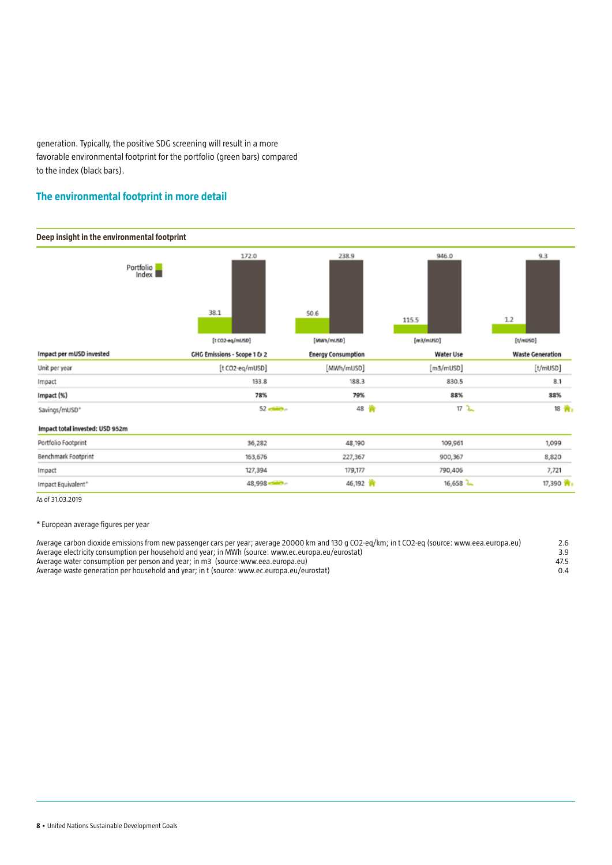generation. Typically, the positive SDG screening will result in a more favorable environmental footprint for the portfolio (green bars) compared to the index (black bars).

### **The environmental footprint in more detail**



As of 31.03.2019

\* European average figures per year

| Average carbon dioxide emissions from new passenger cars per year; average 20000 km and 130 g CO2-eg/km; in t CO2-eg (source: www.eea.europa.eu) | 2.6           |
|--------------------------------------------------------------------------------------------------------------------------------------------------|---------------|
| Average electricity consumption per household and year; in MWh (source: www.ec.europa.eu/eurostat)                                               | 3.9           |
| Average water consumption per person and year; in m3 (source:www.eea.europa.eu)                                                                  | 47.5          |
| Average waste generation per household and year: in t (source: www.ec.europa.eu/eurostat)                                                        | $0.4^{\circ}$ |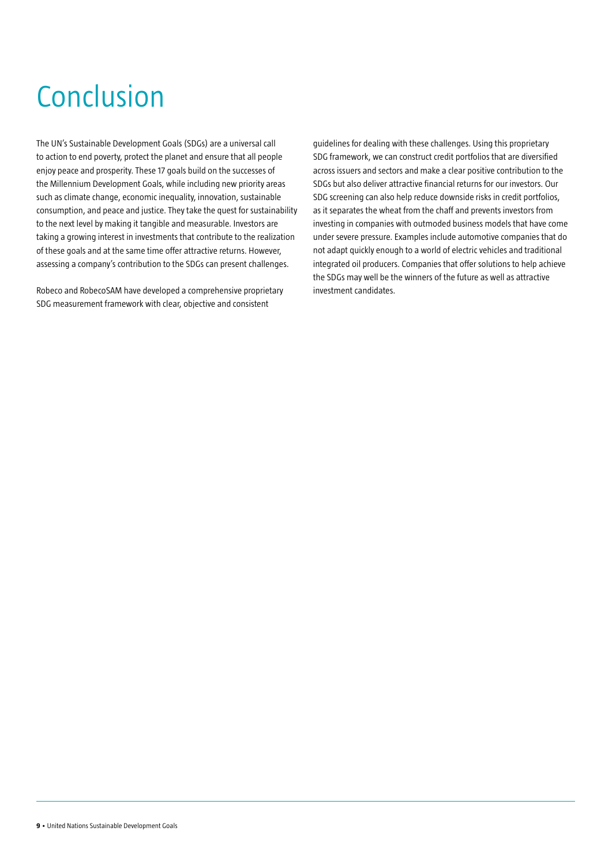# Conclusion

The UN's Sustainable Development Goals (SDGs) are a universal call to action to end poverty, protect the planet and ensure that all people enjoy peace and prosperity. These 17 goals build on the successes of the Millennium Development Goals, while including new priority areas such as climate change, economic inequality, innovation, sustainable consumption, and peace and justice. They take the quest for sustainability to the next level by making it tangible and measurable. Investors are taking a growing interest in investments that contribute to the realization of these goals and at the same time offer attractive returns. However, assessing a company's contribution to the SDGs can present challenges.

Robeco and RobecoSAM have developed a comprehensive proprietary SDG measurement framework with clear, objective and consistent

guidelines for dealing with these challenges. Using this proprietary SDG framework, we can construct credit portfolios that are diversified across issuers and sectors and make a clear positive contribution to the SDGs but also deliver attractive financial returns for our investors. Our SDG screening can also help reduce downside risks in credit portfolios, as it separates the wheat from the chaff and prevents investors from investing in companies with outmoded business models that have come under severe pressure. Examples include automotive companies that do not adapt quickly enough to a world of electric vehicles and traditional integrated oil producers. Companies that offer solutions to help achieve the SDGs may well be the winners of the future as well as attractive investment candidates.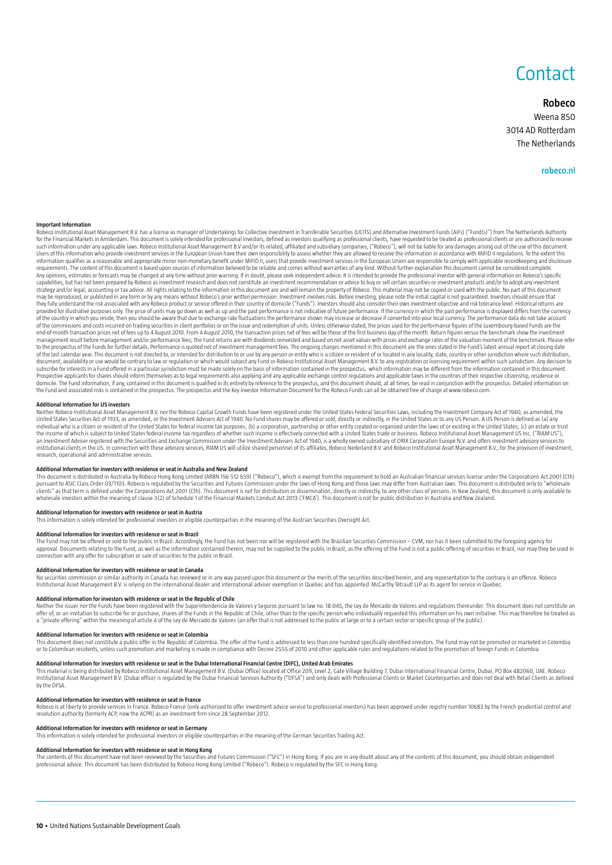### **Contact**

#### **Robeco**

Weena 850 3014 AD Rotterdam The Netherlands

#### **robeco.nl**

#### **Important Information**

Robero Institutional Asset Management B.V. has a license as manager of Undertakings for Collective Investment in Transferable Securities (UCITS) and Alternative Investment Eunds (AIFs) ("Fund(s)") from The Netherlands Auth for the Financial Markets in Amsterdam. This document is solely intended for professional investors, defined as investors qualifying as professional clients, have requested to be treated as professional clients, or are aut such information under any applicable laws. Robeco Institutional Asset Management B.V and/or its related, affiliated and subsidiary companies, ("Robeco"), will not be liable for any damages arising out of the use of this d information qualifies as a reasonable and appropriate minor non-monetary benefit under MiFID II, users that provide investment services in the European Union are responsible to comply with applicable recordkeeping and disc requirements. The content of this document is based upon sources of information believed to be reliable and comes without warranties of any kind. Without further explanation this document cannot be considered complete. Any opinions, estimates or forecasts may be changed at any time without prior warning. If in doubt, please seek independent advice. It is intended to provide the professional investor with general information on Robeco's s capabilities, but has not been prepared by Robeco as investment research and does not constitute an investment recommendation or advice to buy or sell certain securities or investment products and/or to adopt any investmen strategy and/or legal, accounting or tax advice. All rights relating to the information in this document are and will remain the property of Robeco. This material may not be copied or used with the public. No part of this they fully understand the risk associated with any Robeco product or service offered in their country of domicile ("Funds"). Investors should also consider their own investment objective and risk tolerance level. Historica of the country in which you reside, then you should be aware that due to exchange rate fluctuations the performance shown may increase or decrease if converted into your local currency. The performance data do not take acc end-of-month transaction prices net of fees up to 4 August 2010. From 4 August 2010, the transaction prices net of fees will be those of the first business day of the month. Return figures yersus the benchmark show the inv management result before management and/or performance fees; the Fund returns are with dividends reinvested and based on net asset values with prices and exchange rates of the valuation moment of the benchmark. Please refe to the prospectus of the Funds for further details. Performance is quoted net of investment management fees. The ongoing charges mentioned in this document are the ones stated in the Fund's latest annual report at closing subscribe for interests in a Fund offered in a particular jurisdiction must be made solely on the basis of information contained in the prospectus, which information may be different from the information contained in this Prospective applicants for shares should inform themselves as to legal requirements also applying and any applicable exchange control regulations and applicable taxes in the countries of their respective citizenship, resid the Fund and associated risks is contained in the prospectus. The prospectus and the Key Investor Information Document for the Robeco Funds can all be obtained free of charge at www.robeco.com.

#### **Additional Information for US investors**

Neither Robeco Institutional Asset Management B.V. nor the Robeco Capital Growth Funds have been registered under the United States Federal Securities Laws, including the Investment Company Act of 1940, as amended, the United States Securities Act of 1933, as amended, or the Investment Advisers Act of 1940. No Fund shares may be offered or sold, directly or indirectly, in the United States or to any US Person, A US Person is defined as ( individual who is a citizen or resident of the United States for federal income tax purposes; (b) a corporation, partnership or other entity created or organized under the laws of or existing in the United States; (c) an e the income of which is subject to United States federal income tax regardless of whether such income is effectively connected with a United States trade or business. Robeco Institutional Asset Management US Inc. ("RIAM US"), an Investment Adviser registered with the Securities and Exchange Commission under the Investment Advisers Act of 1940, is a wholly owned subsidiary of ORIX Corporation Europe N.V. and offers investment advisory services t research, operational and administrative services.

#### **Additional Information for investors with residence or seat in Australia and New Zealand**

This document is distributed in Australia by Robeco Hong Kong Limited (ARBN 156 512 659) ("Robeco"), which is exempt from the requirement to hold an Australian financial services license under the Corporations Act 2001 (Cth) pursuant to ASIC Class Order 03/1103. Robeco is regulated by the Securities and Futures Commission under the laws of Hong Kong and those laws may differ from Australian laws. This document is distributed only to "wholesale wholesale investors within the meaning of clause 3(2) of Schedule 1 of the Financial Markets Conduct Act 2013 ('FMCA'). This document is not for public distribution in Australia and New Zealand.

#### **Additional Information for investors with residence or seat in Austria**

This information is solely intended for professional investors or eligible counterparties in the meaning of the Austrian Securities Oversight Act.

#### **Additional Information for investors with residence or seat in Brazil**

The Fund may not be offered or sold to the public in Brazil. Accordingly, the Fund has not been nor will be registered with the Brazilian Securities Commission – CVM, nor has it been submitted to the foregoing agency for<br>a connection with any offer for subscription or sale of securities to the public in Brazil.

#### **Additional Information for investors with residence or seat in Canada**

No securities commission or similar authority in Canada has reviewed or in any way passed upon this document or the merits of the securities described herein, and any representation to the contrary is an offence. Robeco Institutional Asset Management B.V. is relying on the international dealer and international adviser exemption in Quebec and has appointed McCarthy Tétrault LLP as its agent for service in Quebec.

#### **Additional information for investors with residence or seat in the Republic of Chile**

Neither the issuer nor the Funds have been registered with the Superintendencia de Valores y Seguros pursuant to law no. 18.045, the Ley de Mercado de Valores and regulations thereunder. This document does not constitute a offer of, or an invitation to subscribe for or purchase, shares of the Funds in the Republic of Chile, other than to the specific person who individually requested this information on his own initiative. This may therefore

#### **Additional Information for investors with residence or seat in Colombia**

This document does not constitute a public offer in the Republic of Colombia. The offer of the Fund is addressed to less than one hundred specifically identified investors. The Fund may not be promoted or marketed in Colom or to Colombian residents, unless such promotion and marketing is made in compliance with Decree 2555 of 2010 and other applicable rules and regulations related to the promotion of foreign Funds in Colombia.

#### **Additional Information for investors with residence or seat in the Dubai International Financial Centre (DIFC), United Arab Emirates**

This material is being distributed by Robeco Institutional Asset Management B.V. (Dubai Office) located at Office 209, Level 2, Gate Village Building 7, Dubai International Financial Centre, Dubai, PO Box 482060, UAE. Robe by the DFSA.

**Additional Information for investors with residence or seat in France**<br>Robeco is at liberty to provide services in France. Robeco France (only authorized to offer investment advice service to professional investors) has b resolution authority (formerly ACP, now the ACPR) as an investment firm since 28 September 2012.

**Additional Information for investors with residence or seat in Germany** This information is solely intended for professional investors or eligible counterparties in the meaning of the German Securities Trading Act.

#### **Additional Information for investors with residence or seat in Hong Kong**

The contents of this document have not been reviewed by the Securities and Futures Commission ("SFC") in Hong Kong. If you are in any doubt about any of the contents of this document, you should obtain independent<br>professi